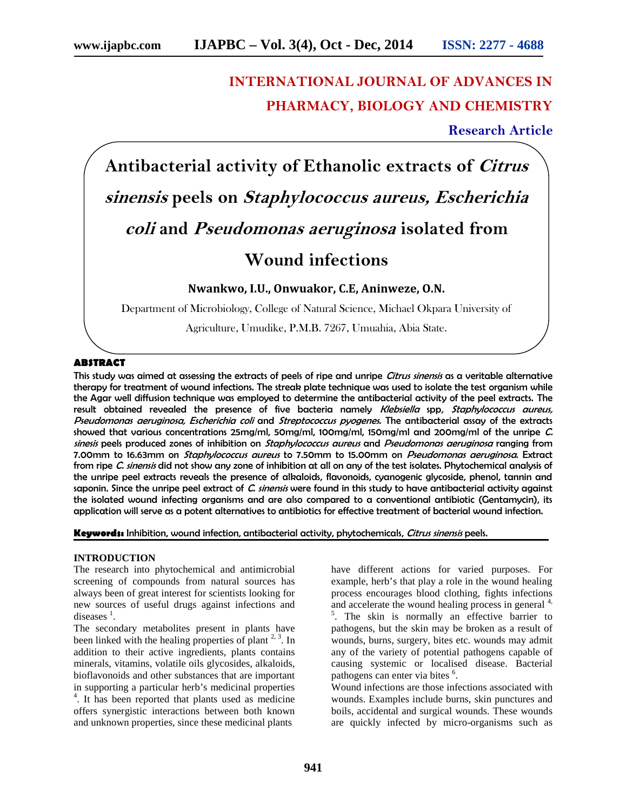# **INTERNATIONAL JOURNAL OF ADVANCES IN PHARMACY, BIOLOGY AND CHEMISTRY**

# **Research Article**

**Antibacterial activity of Ethanolic extracts of** *Citrus sinensis* **peels on** *Staphylococcus aureus, Escherichia coli* **and** *Pseudomonas aeruginosa* **isolated from Wound infections**

**Nwankwo, I.U., Onwuakor, C.E, Aninweze, O.N.**

Department of Microbiology, College of Natural Science, Michael Okpara University of

Agriculture, Umudike, P.M.B. 7267, Umuahia, Abia State.

#### **ABSTRACT**

This study was aimed at assessing the extracts of peels of ripe and unripe *Citrus sinensis* as a veritable alternative therapy for treatment of wound infections. The streak plate technique was used to isolate the test organism while the Agar well diffusion technique was employed to determine the antibacterial activity of the peel extracts. The result obtained revealed the presence of five bacteria namely *Klebsiella* spp*, Staphylococcus aureus, Pseudomonas aeruginosa, Escherichia coli* and *Streptococcus pyogenes.* The antibacterial assay of the extracts showed that various concentrations 25mg/ml, 50mg/ml, 100mg/ml, 150mg/ml and 200mg/ml of the unripe *C. sinesis* peels produced zones of inhibition on *Staphylococcus aureus* and *Pseudomonas aeruginosa* ranging from 7.00mm to 16.63mm on *Staphylococcus aureus* to 7.50mm to 15.00mm on *Pseudomonas aeruginosa*. Extract from ripe *C. sinensis* did not show any zone of inhibition at all on any of the test isolates. Phytochemical analysis of the unripe peel extracts reveals the presence of alkaloids, flavonoids, cyanogenic glycoside, phenol, tannin and saponin. Since the unripe peel extract of *C. sinensis* were found in this study to have antibacterial activity against the isolated wound infecting organisms and are also compared to a conventional antibiotic (Gentamycin), its application will serve as a potent alternatives to antibiotics for effective treatment of bacterial wound infection.

**Keywords:** Inhibition, wound infection, antibacterial activity, phytochemicals, *Citrus sinensis* peels.

#### **INTRODUCTION**

The research into phytochemical and antimicrobial screening of compounds from natural sources has always been of great interest for scientists looking for new sources of useful drugs against infections and diseases  $<sup>1</sup>$ .</sup>

The secondary metabolites present in plants have been linked with the healing properties of plant  $2<sup>3</sup>$ . In addition to their active ingredients, plants contains minerals, vitamins, volatile oils glycosides, alkaloids, bioflavonoids and other substances that are important in supporting a particular herb's medicinal properties 4 . It has been reported that plants used as medicine offers synergistic interactions between both known and unknown properties, since these medicinal plants

have different actions for varied purposes. For example, herb's that play a role in the wound healing process encourages blood clothing, fights infections and accelerate the wound healing process in general  $4$ ,  $\frac{5}{1}$ . The skin is normally an effective barrier to pathogens, but the skin may be broken as a result of wounds, burns, surgery, bites etc. wounds may admit any of the variety of potential pathogens capable of causing systemic or localised disease. Bacterial pathogens can enter via bites <sup>6</sup>.

Wound infections are those infections associated with wounds. Examples include burns, skin punctures and boils, accidental and surgical wounds. These wounds are quickly infected by micro-organisms such as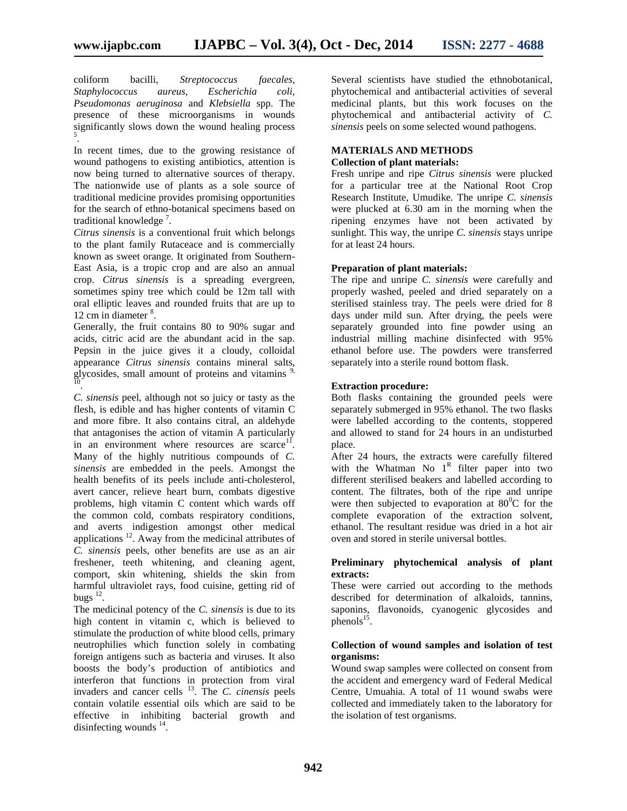coliform bacilli, *Streptococcus faecales, Staphylococcus aureus, Escherichia coli, Pseudomonas aeruginosa* and *Klebsiella* spp. The presence of these microorganisms in wounds significantly slows down the wound healing process  $5^{\circ}$ 

.In recent times, due to the growing resistance of wound pathogens to existing antibiotics, attention is now being turned to alternative sources of therapy. The nationwide use of plants as a sole source of traditional medicine provides promising opportunities for the search of ethno-botanical specimens based on traditional knowledge<sup>7</sup>.

*Citrus sinensis* is a conventional fruit which belongs to the plant family Rutaceace and is commercially known as sweet orange. It originated from Southern- East Asia, is a tropic crop and are also an annual crop. *Citrus sinensis* is a spreading evergreen, sometimes spiny tree which could be 12m tall with oral elliptic leaves and rounded fruits that are up to 12 cm in diameter <sup>8</sup>.

Generally, the fruit contains 80 to 90% sugar and acids, citric acid are the abundant acid in the sap. Pepsin in the juice gives it a cloudy, colloidal appearance *Citrus sinensis* contains mineral salts, glycosides, small amount of proteins and vitamins  $\frac{9}{10}$ .

*C. sinensis* peel, although not so juicy or tasty as the flesh, is edible and has higher contents of vitamin C and more fibre. It also contains citral, an aldehyde that antagonises the action of vitamin A particularly in an environment where resources are scarce $11$ . . Many of the highly nutritious compounds of *C. sinensis* are embedded in the peels. Amongst the health benefits of its peels include anti-cholesterol, avert cancer, relieve heart burn, combats digestive problems, high vitamin C content which wards off the common cold, combats respiratory conditions, and averts indigestion amongst other medical applications  $^{12}$ . Away from the medicinal attributes of *C. sinensis* peels, other benefits are use as an air freshener, teeth whitening, and cleaning agent, comport, skin whitening, shields the skin from harmful ultraviolet rays, food cuisine, getting rid of bugs $^{12}$ . .

The medicinal potency of the *C. sinensis* is due to its high content in vitamin c, which is believed to stimulate the production of white blood cells, primary neutrophilies which function solely in combating foreign antigens such as bacteria and viruses. It also boosts the body's production of antibiotics and interferon that functions in protection from viral invaders and cancer cells <sup>13</sup>. The *C. cinensis* peels contain volatile essential oils which are said to be effective in inhibiting bacterial growth and disinfecting wounds  $14$ .

Several scientists have studied the ethnobotanical, phytochemical and antibacterial activities of several medicinal plants, but this work focuses on the phytochemical and antibacterial activity of *C. sinensis* peels on some selected wound pathogens.

# **MATERIALS AND METHODS**

# **Collection of plant materials:**

Fresh unripe and ripe *Citrus sinensis* were plucked for a particular tree at the National Root Crop Research Institute, Umudike. The unripe *C. sinensis* were plucked at 6.30 am in the morning when the ripening enzymes have not been activated by sunlight. This way, the unripe *C. sinensis* stays unripe for at least 24 hours.

### **Preparation of plant materials:**

The ripe and unripe *C. sinensis* were carefully and properly washed, peeled and dried separately on a sterilised stainless tray. The peels were dried for 8 days under mild sun. After drying, the peels were separately grounded into fine powder using an industrial milling machine disinfected with 95% ethanol before use. The powders were transferred separately into a sterile round bottom flask.

#### **Extraction procedure:**

Both flasks containing the grounded peels were separately submerged in 95% ethanol. The two flasks were labelled according to the contents, stoppered and allowed to stand for 24 hours in an undisturbed place.

After 24 hours, the extracts were carefully filtered with the Whatman No  $1^R$  filter paper into two different sterilised beakers and labelled according to content. The filtrates, both of the ripe and unripe were then subjected to evaporation at  $80^{\circ}$ C for the complete evaporation of the extraction solvent, ethanol. The resultant residue was dried in a hot air oven and stored in sterile universal bottles.

### **Preliminary phytochemical analysis of plant extracts:**

These were carried out according to the methods described for determination of alkaloids, tannins, saponins, flavonoids, cyanogenic glycosides and phenols $15$ . .

#### **Collection of wound samples and isolation of test organisms:**

Wound swap samples were collected on consent from the accident and emergency ward of Federal Medical Centre, Umuahia. A total of 11 wound swabs were collected and immediately taken to the laboratory for the isolation of test organisms.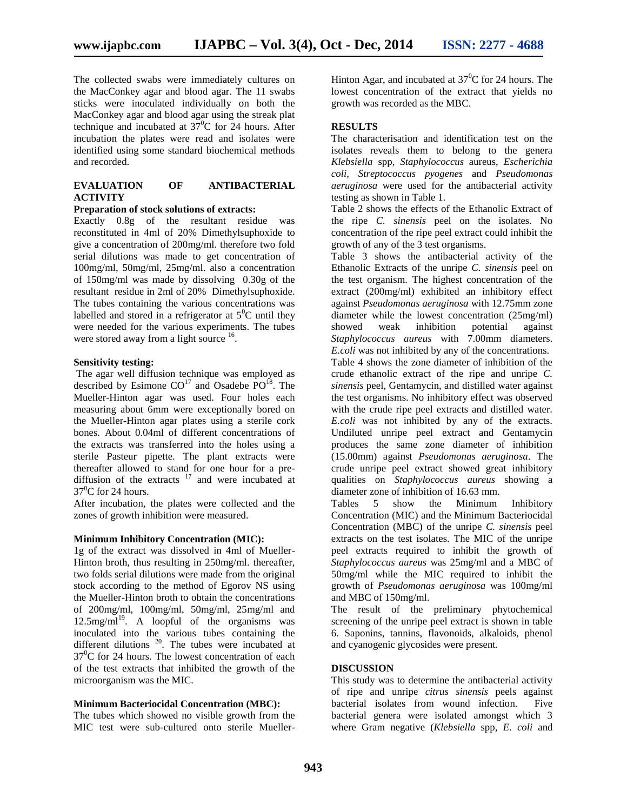The collected swabs were immediately cultures on the MacConkey agar and blood agar. The 11 swabs sticks were inoculated individually on both the MacConkey agar and blood agar using the streak plat technique and incubated at  $37^{\circ}$ C for 24 hours. After incubation the plates were read and isolates were identified using some standard biochemical methods and recorded.

# **EVALUATION OF ANTIBACTERIAL ACTIVITY**

#### **Preparation of stock solutions of extracts:**

Exactly 0.8g of the resultant residue was reconstituted in 4ml of 20% Dimethylsuphoxide to give a concentration of 200mg/ml. therefore two fold serial dilutions was made to get concentration of 100mg/ml, 50mg/ml, 25mg/ml. also a concentration of 150mg/ml was made by dissolving 0.30g of the resultant residue in 2ml of 20% Dimethylsuphoxide. The tubes containing the various concentrations was labelled and stored in a refrigerator at  $5^0C$  until they were needed for the various experiments. The tubes were stored away from a light source  $16$ .

#### **Sensitivity testing:**

The agar well diffusion technique was employed as described by Esimone  $CO<sup>17</sup>$  and Osadebe  $PO<sup>18</sup>$ . The Mueller-Hinton agar was used. Four holes each measuring about 6mm were exceptionally bored on the Mueller-Hinton agar plates using a sterile cork bones. About 0.04ml of different concentrations of the extracts was transferred into the holes using a sterile Pasteur pipette. The plant extracts were thereafter allowed to stand for one hour for a pre diffusion of the extracts  $17$  and were incubated at  $37^0$ C for 24 hours.

After incubation, the plates were collected and the zones of growth inhibition were measured.

#### **Minimum Inhibitory Concentration (MIC):**

1g of the extract was dissolved in 4ml of Mueller- Hinton broth, thus resulting in 250mg/ml. thereafter, two folds serial dilutions were made from the original stock according to the method of Egorov NS using the Mueller-Hinton broth to obtain the concentrations of 200mg/ml, 100mg/ml, 50mg/ml, 25mg/ml and  $12.5$ mg/ml<sup>19</sup>. A loopful of the organisms was inoculated into the various tubes containing the different dilutions  $20$ . The tubes were incubated at  $37^0C$  for 24 hours. The lowest concentration of each of the test extracts that inhibited the growth of the microorganism was the MIC.

#### **Minimum Bacteriocidal Concentration (MBC):**

The tubes which showed no visible growth from the MIC test were sub-cultured onto sterile Mueller-

Hinton Agar, and incubated at  $37^{\circ}$ C for 24 hours. The lowest concentration of the extract that yields no growth was recorded as the MBC.

#### **RESULTS**

The characterisation and identification test on the isolates reveals them to belong to the genera *Klebsiella* spp, *Staphylococcus* aureus, *Escherichia coli, Streptococcus pyogenes* and *Pseudomonas aeruginosa* were used for the antibacterial activity testing as shown in Table 1.

Table 2 shows the effects of the Ethanolic Extract of the ripe *C. sinensis* peel on the isolates. No concentration of the ripe peel extract could inhibit the growth of any of the 3 test organisms.

Table 3 shows the antibacterial activity of the Ethanolic Extracts of the unripe *C. sinensis* peel on the test organism. The highest concentration of the extract (200mg/ml) exhibited an inhibitory effect against *Pseudomonas aeruginosa* with 12.75mm zone diameter while the lowest concentration (25mg/ml) showed weak inhibition potential against *Staphylococcus aureus* with 7.00mm diameters. *E.coli* was not inhibited by any of the concentrations. Table 4 shows the zone diameter of inhibition of the crude ethanolic extract of the ripe and unripe *C. sinensis* peel, Gentamycin, and distilled water against the test organisms. No inhibitory effect was observed with the crude ripe peel extracts and distilled water. *E.coli* was not inhibited by any of the extracts. Undiluted unripe peel extract and Gentamycin produces the same zone diameter of inhibition (15.00mm) against *Pseudomonas aeruginosa*. The crude unripe peel extract showed great inhibitory qualities on *Staphylococcus aureus* showing a diameter zone of inhibition of 16.63 mm.

Tables 5 show the Minimum Inhibitory Concentration (MIC) and the Minimum Bacteriocidal Concentration (MBC) of the unripe *C. sinensis* peel extracts on the test isolates. The MIC of the unripe peel extracts required to inhibit the growth of *Staphylococcus aureus* was 25mg/ml and a MBC of 50mg/ml while the MIC required to inhibit the growth of *Pseudomonas aeruginosa* was 100mg/ml and MBC of 150mg/ml.

The result of the preliminary phytochemical screening of the unripe peel extract is shown in table 6. Saponins, tannins, flavonoids, alkaloids, phenol and cyanogenic glycosides were present.

#### **DISCUSSION**

This study was to determine the antibacterial activity of ripe and unripe *citrus sinensis* peels against bacterial isolates from wound infection. Five bacterial genera were isolated amongst which 3 where Gram negative (*Klebsiella* spp, *E. coli* and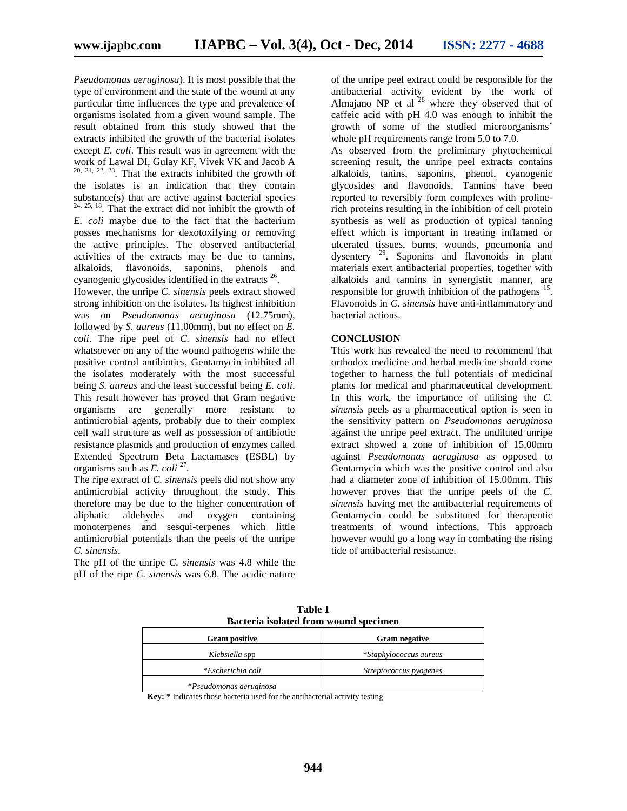*Pseudomonas aeruginosa*). It is most possible that the type of environment and the state of the wound at any particular time influences the type and prevalence of organisms isolated from a given wound sample. The result obtained from this study showed that the extracts inhibited the growth of the bacterial isolates except *E. coli*. This result was in agreement with the work of Lawal DI, Gulay KF, Vivek VK and Jacob A  $20, 21, 22, 23$ . That the extracts inhibited the growth of the isolates is an indication that they contain substance(s) that are active against bacterial species 24, 25, 18. That the extract did not inhibit the growth of *E. coli* maybe due to the fact that the bacterium posses mechanisms for dexotoxifying or removing the active principles. The observed antibacterial activities of the extracts may be due to tannins, alkaloids, flavonoids, saponins, phenols and cyanogenic glycosides identified in the extracts <sup>26</sup>.

However, the unripe *C. sinensis* peels extract showed strong inhibition on the isolates. Its highest inhibition was on *Pseudomonas aeruginosa* (12.75mm), followed by *S. aureus* (11.00mm), but no effect on *E. coli*. The ripe peel of *C. sinensis* had no effect whatsoever on any of the wound pathogens while the positive control antibiotics, Gentamycin inhibited all the isolates moderately with the most successful being *S. aureus* and the least successful being *E. coli*. This result however has proved that Gram negative organisms are generally more resistant to antimicrobial agents, probably due to their complex cell wall structure as well as possession of antibiotic resistance plasmids and production of enzymes called Extended Spectrum Beta Lactamases (ESBL) by organisms such as *E. coli*<sup>27</sup>.

The ripe extract of *C. sinensis* peels did not show any antimicrobial activity throughout the study. This therefore may be due to the higher concentration of aliphatic aldehydes and oxygen containing monoterpenes and sesqui-terpenes which little antimicrobial potentials than the peels of the unripe *C. sinensis*.

The pH of the unripe *C. sinensis* was 4.8 while the pH of the ripe *C. sinensis* was 6.8. The acidic nature

of the unripe peel extract could be responsible for the antibacterial activity evident by the work of Almajano NP et al  $28$  where they observed that of caffeic acid with pH 4.0 was enough to inhibit the growth of some of the studied microorganisms' whole pH requirements range from 5.0 to 7.0.

As observed from the preliminary phytochemical screening result, the unripe peel extracts contains alkaloids, tanins, saponins, phenol, cyanogenic glycosides and flavonoids. Tannins have been reported to reversibly form complexes with prolinerich proteins resulting in the inhibition of cell protein synthesis as well as production of typical tanning effect which is important in treating inflamed or ulcerated tissues, burns, wounds, pneumonia and dysentery <sup>29</sup> . Saponins and flavonoids in plant materials exert antibacterial properties, together with alkaloids and tannins in synergistic manner, are responsible for growth inhibition of the pathogens  $15$ . Flavonoids in *C. sinensis* have anti-inflammatory and bacterial actions.

#### **CONCLUSION**

This work has revealed the need to recommend that orthodox medicine and herbal medicine should come together to harness the full potentials of medicinal plants for medical and pharmaceutical development. In this work, the importance of utilising the *C. sinensis* peels as a pharmaceutical option is seen in the sensitivity pattern on *Pseudomonas aeruginosa* against the unripe peel extract. The undiluted unripe extract showed a zone of inhibition of 15.00mm against *Pseudomonas aeruginosa* as opposed to Gentamycin which was the positive control and also had a diameter zone of inhibition of 15.00mm. This however proves that the unripe peels of the *C. sinensis* having met the antibacterial requirements of Gentamycin could be substituted for therapeutic treatments of wound infections. This approach however would go a long way in combating the rising tide of antibacterial resistance.

| Bacteria isolated from wound specimen |                        |
|---------------------------------------|------------------------|
| <b>Gram positive</b>                  | <b>Gram negative</b>   |
| Klebsiella spp                        | *Staphylococcus aureus |
| *Escherichia coli                     | Streptococcus pyogenes |
| *Pseudomonas aeruginosa               |                        |

**Table 1**

**Key:** \* Indicates those bacteria used for the antibacterial activity testing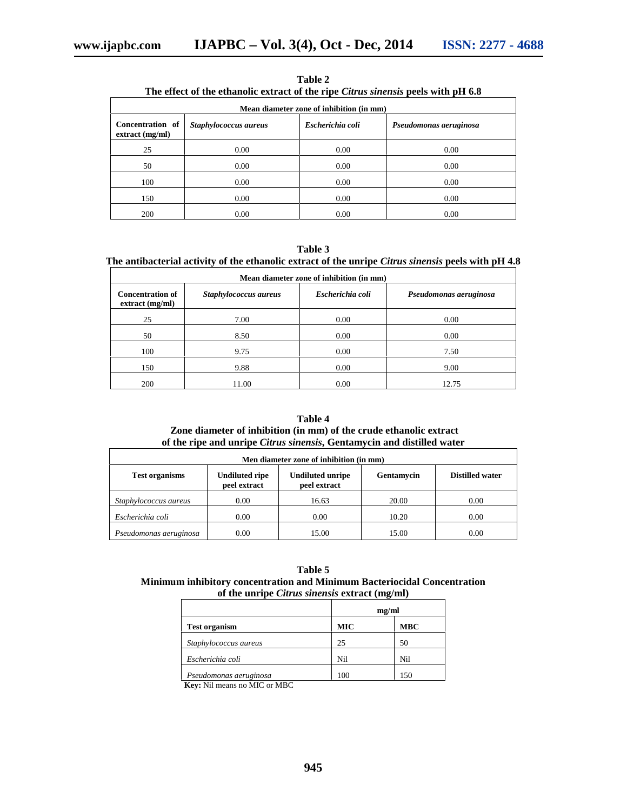|                                       | The chect of the continuity extract of the ripe curius suicissis peers with pri 0.0 |                  |                        |
|---------------------------------------|-------------------------------------------------------------------------------------|------------------|------------------------|
|                                       | Mean diameter zone of inhibition (in mm)                                            |                  |                        |
| Concentration of<br>$extract$ (mg/ml) | Staphylococcus aureus                                                               | Escherichia coli | Pseudomonas aeruginosa |
| 25                                    | 0.00                                                                                | 0.00             | 0.00                   |
| 50                                    | 0.00                                                                                | 0.00             | 0.00                   |
| 100                                   | 0.00                                                                                | 0.00             | 0.00                   |
| 150                                   | 0.00                                                                                | 0.00             | 0.00                   |
| 200                                   | 0.00                                                                                | 0.00             | 0.00                   |

**Table 2 The effect of the ethanolic extract of the ripe** *Citrus sinensis* **peels with pH 6.8**

**Table 3**

# **The antibacterial activity of the ethanolic extract of the unripe** *Citrus sinensis* **peels with pH 4.8**

| Mean diameter zone of inhibition (in mm)  |                       |                  |                        |
|-------------------------------------------|-----------------------|------------------|------------------------|
| <b>Concentration of</b><br>extract(mg/ml) | Staphylococcus aureus | Escherichia coli | Pseudomonas aeruginosa |
| 25                                        | 7.00                  | 0.00             | 0.00                   |
| 50                                        | 8.50                  | 0.00             | 0.00                   |
| 100                                       | 9.75                  | 0.00             | 7.50                   |
| 150                                       | 9.88                  | 0.00             | 9.00                   |
| 200                                       | 11.00                 | 0.00             | 12.75                  |

#### **Table 4 Zone diameter of inhibition (in mm) of the crude ethanolic extract of the ripe and unripe** *Citrus sinensis***, Gentamycin and distilled water**

| Men diameter zone of inhibition (in mm) |                                       |                                         |            |                        |
|-----------------------------------------|---------------------------------------|-----------------------------------------|------------|------------------------|
| <b>Test organisms</b>                   | <b>Undiluted ripe</b><br>peel extract | <b>Undiluted unripe</b><br>peel extract | Gentamycin | <b>Distilled water</b> |
| Staphylococcus aureus                   | 0.00                                  | 16.63                                   | 20.00      | 0.00                   |
| Escherichia coli                        | 0.00                                  | 0.00                                    | 10.20      | 0.00                   |
| Pseudomonas aeruginosa                  | 0.00                                  | 15.00                                   | 15.00      | 0.00                   |

| Table 5                                                                  |  |
|--------------------------------------------------------------------------|--|
| Minimum inhibitory concentration and Minimum Bacteriocidal Concentration |  |
| of the unripe <i>Citrus sinensis</i> extract (mg/ml)                     |  |

|                        | mg/ml      |            |
|------------------------|------------|------------|
| <b>Test organism</b>   | <b>MIC</b> | <b>MBC</b> |
| Staphylococcus aureus  | 25         | 50         |
| Escherichia coli       | Nil        | Nil        |
| Pseudomonas aeruginosa | 100        | 150        |

**Key:** Nil means no MIC or MBC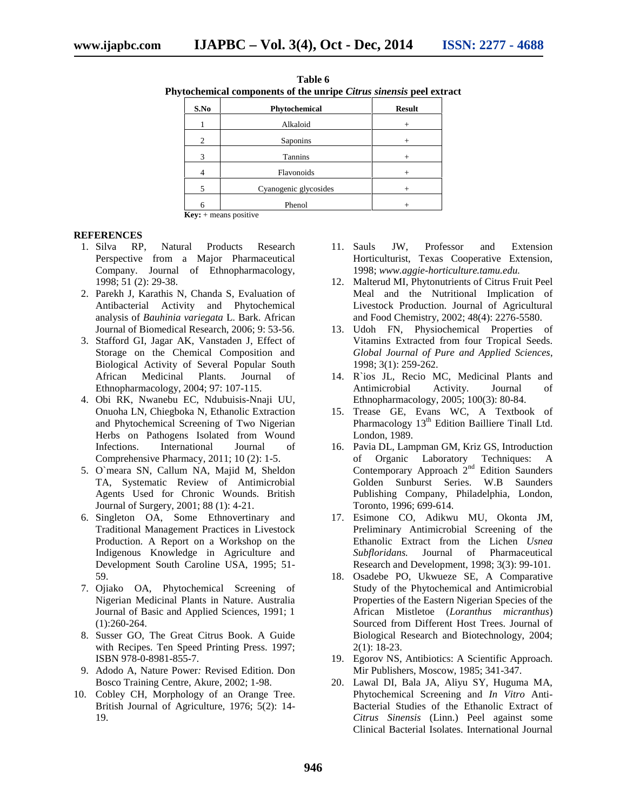| ytocnemical components of the unripe C <i>urus sinensis</i> peel ext |                       |               |
|----------------------------------------------------------------------|-----------------------|---------------|
| S.No                                                                 | Phytochemical         | <b>Result</b> |
|                                                                      | Alkaloid              | $^{+}$        |
| 2                                                                    | Saponins              | $^{+}$        |
| 3                                                                    | Tannins               |               |
| 4                                                                    | Flavonoids            |               |
| 5                                                                    | Cyanogenic glycosides | $^{+}$        |
| 6                                                                    | Phenol                | $^{+}$        |

**Table 6 Phytochemical components of the unripe** *Citrus sinensis* **peel extract**

**Key:** + means positive

#### **REFERENCES**

- 1. Silva RP, Natural Products Research Perspective from a Major Pharmaceutical Company. Journal of Ethnopharmacology, 1998; 51 (2): 29-38.
- 2. Parekh J, Karathis N, Chanda S, Evaluation of Antibacterial Activity and Phytochemical analysis of *Bauhinia variegata* L. Bark. African Journal of Biomedical Research, 2006; 9: 53-56.
- 3. Stafford GI, Jagar AK, Vanstaden J, Effect of Storage on the Chemical Composition and Biological Activity of Several Popular South African Medicinal Plants. Journal of Ethnopharmacology, 2004; 97: 107-115.
- 4. Obi RK, Nwanebu EC, Ndubuisis-Nnaji UU, Onuoha LN, Chiegboka N, Ethanolic Extraction and Phytochemical Screening of Two Nigerian Herbs on Pathogens Isolated from Wound Infections. International Journal of Comprehensive Pharmacy, 2011; 10 (2): 1-5.
- 5. O`meara SN, Callum NA, Majid M, Sheldon TA, Systematic Review of Antimicrobial Agents Used for Chronic Wounds. British Journal of Surgery, 2001; 88 (1): 4-21.
- 6. Singleton OA, Some Ethnovertinary and Traditional Management Practices in Livestock Production. A Report on a Workshop on the Indigenous Knowledge in Agriculture and Development South Caroline USA, 1995; 51- 59.
- 7. Ojiako OA, Phytochemical Screening of Nigerian Medicinal Plants in Nature. Australia Journal of Basic and Applied Sciences, 1991; 1 (1):260-264.
- 8. Susser GO, The Great Citrus Book. A Guide with Recipes. Ten Speed Printing Press. 1997; ISBN 978-0-8981-855-7.
- 9. Adodo A, Nature Power*:* Revised Edition. Don Bosco Training Centre, Akure, 2002; 1-98.
- 10. Cobley CH, Morphology of an Orange Tree. British Journal of Agriculture, 1976; 5(2): 14- 19.
- 11. Sauls JW, Professor and Extension Horticulturist, Texas Cooperative Extension, 1998; *www.aggie-horticulture.tamu.edu.*
- 12. Malterud MI, Phytonutrients of Citrus Fruit Peel Meal and the Nutritional Implication of Livestock Production. Journal of Agricultural and Food Chemistry, 2002; 48(4): 2276-5580.
- 13. Udoh FN, Physiochemical Properties of Vitamins Extracted from four Tropical Seeds. *Global Journal of Pure and Applied Sciences*, 1998; 3(1): 259-262.
- 14. R`ios JL, Recio MC, Medicinal Plants and Antimicrobial Activity. Journal of Ethnopharmacology, 2005; 100(3): 80-84.
- 15. Trease GE, Evans WC, A Textbook of Pharmacology  $13<sup>th</sup>$  Edition Bailliere Tinall Ltd. London, 1989.
- 16. Pavia DL, Lampman GM, Kriz GS, Introduction of Organic Laboratory Techniques: A Contemporary Approach 2<sup>nd</sup> Edition Saunders Golden Sunburst Series. W.B Saunders Publishing Company, Philadelphia, London, Toronto, 1996; 699-614.
- 17. Esimone CO, Adikwu MU, Okonta JM, Preliminary Antimicrobial Screening of the Ethanolic Extract from the Lichen *Usnea Subfloridans.* Journal of Pharmaceutical Research and Development, 1998; 3(3): 99-101.
- 18. Osadebe PO, Ukwueze SE, A Comparative Study of the Phytochemical and Antimicrobial Properties of the Eastern Nigerian Species of the African Mistletoe (*Loranthus micranthus*) Sourced from Different Host Trees. Journal of Biological Research and Biotechnology, 2004; 2(1): 18-23.
- 19. Egorov NS, Antibiotics: A Scientific Approach. Mir Publishers, Moscow, 1985; 341-347.
- 20. Lawal DI, Bala JA, Aliyu SY, Huguma MA, Phytochemical Screening and *In Vitro* Anti- Bacterial Studies of the Ethanolic Extract of *Citrus Sinensis* (Linn.) Peel against some Clinical Bacterial Isolates. International Journal